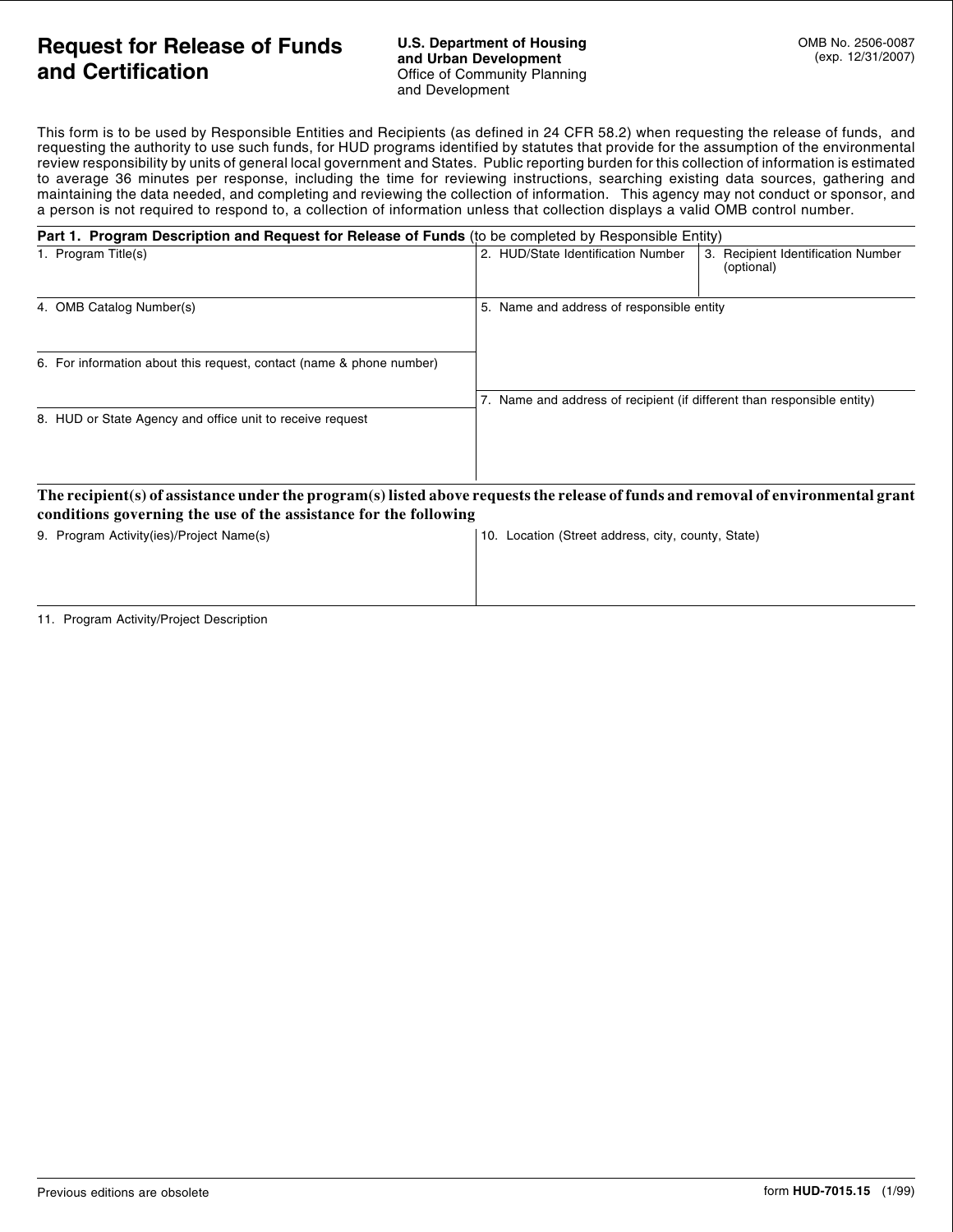## **Request for Release of Funds and Certification**

This form is to be used by Responsible Entities and Recipients (as defined in 24 CFR 58.2) when requesting the release of funds, and requesting the authority to use such funds, for HUD programs identified by statutes that provide for the assumption of the environmental review responsibility by units of general local government and States. Public reporting burden for this collection of information is estimated to average 36 minutes per response, including the time for reviewing instructions, searching existing data sources, gathering and maintaining the data needed, and completing and reviewing the collection of information. This agency may not conduct or sponsor, and a person is not required to respond to, a collection of information unless that collection displays a valid OMB control number.

| Part 1. Program Description and Request for Release of Funds (to be completed by Responsible Entity) |                                                                                                                                   |  |
|------------------------------------------------------------------------------------------------------|-----------------------------------------------------------------------------------------------------------------------------------|--|
| 1. Program Title(s)                                                                                  | 2. HUD/State Identification Number<br>3. Recipient Identification Number<br>(optional)                                            |  |
| 4. OMB Catalog Number(s)                                                                             | 5. Name and address of responsible entity                                                                                         |  |
| 6. For information about this request, contact (name & phone number)                                 |                                                                                                                                   |  |
|                                                                                                      | 7. Name and address of recipient (if different than responsible entity)                                                           |  |
| 8. HUD or State Agency and office unit to receive request                                            |                                                                                                                                   |  |
| conditions governing the use of the assistance for the following                                     | The recipient(s) of assistance under the program(s) listed above requests the release of funds and removal of environmental grant |  |
| 9. Program Activity(ies)/Project Name(s)                                                             | Location (Street address, city, county, State)<br>10.                                                                             |  |

## 11. Program Activity/Project Description